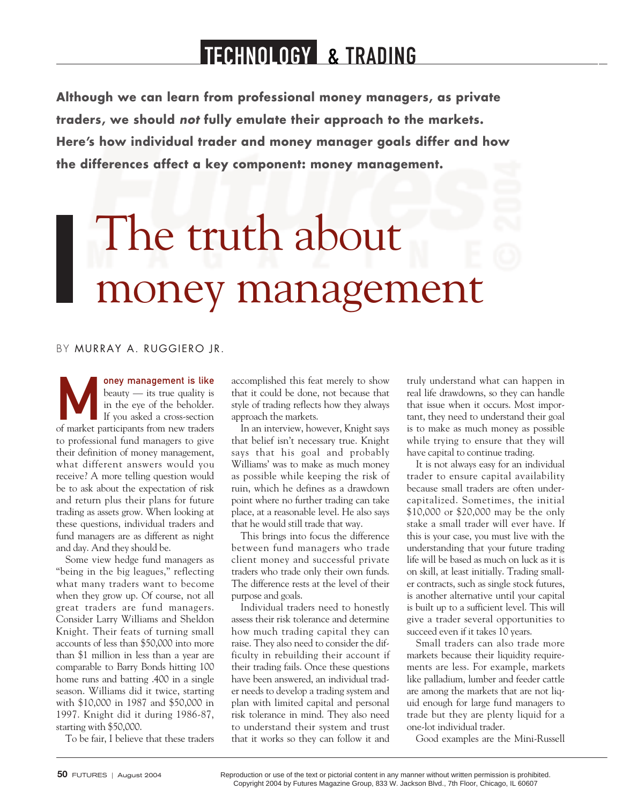# TECHNOLOGY & TRADING

**Although we can learn from professional money managers, as private traders, we should not fully emulate their approach to the markets. Here's how individual trader and money manager goals differ and how the differences affect a key component: money management.**

# The truth about money management

## BY MURRAY A. RUGGIERO JR.

oney management is like<br>
beauty — its true quality is<br>
in the eye of the beholder.<br>
If you asked a cross-section<br>
of market participants from new traders beauty — its true quality is in the eye of the beholder. If you asked a cross-section to professional fund managers to give their definition of money management, what different answers would you receive? A more telling question would be to ask about the expectation of risk and return plus their plans for future trading as assets grow. When looking at these questions, individual traders and fund managers are as different as night and day. And they should be.

Some view hedge fund managers as "being in the big leagues," reflecting what many traders want to become when they grow up. Of course, not all great traders are fund managers. Consider Larry Williams and Sheldon Knight. Their feats of turning small accounts of less than \$50,000 into more than \$1 million in less than a year are comparable to Barry Bonds hitting 100 home runs and batting .400 in a single season. Williams did it twice, starting with \$10,000 in 1987 and \$50,000 in 1997. Knight did it during 1986-87, starting with \$50,000.

To be fair, I believe that these traders

accomplished this feat merely to show that it could be done, not because that style of trading reflects how they always approach the markets.

In an interview, however, Knight says that belief isn't necessary true. Knight says that his goal and probably Williams' was to make as much money as possible while keeping the risk of ruin, which he defines as a drawdown point where no further trading can take place, at a reasonable level. He also says that he would still trade that way.

This brings into focus the difference between fund managers who trade client money and successful private traders who trade only their own funds. The difference rests at the level of their purpose and goals.

Individual traders need to honestly assess their risk tolerance and determine how much trading capital they can raise. They also need to consider the difficulty in rebuilding their account if their trading fails. Once these questions have been answered, an individual trader needs to develop a trading system and plan with limited capital and personal risk tolerance in mind. They also need to understand their system and trust that it works so they can follow it and

truly understand what can happen in real life drawdowns, so they can handle that issue when it occurs. Most important, they need to understand their goal is to make as much money as possible while trying to ensure that they will have capital to continue trading.

It is not always easy for an individual trader to ensure capital availability because small traders are often undercapitalized. Sometimes, the initial \$10,000 or \$20,000 may be the only stake a small trader will ever have. If this is your case, you must live with the understanding that your future trading life will be based as much on luck as it is on skill, at least initially. Trading smaller contracts, such as single stock futures, is another alternative until your capital is built up to a sufficient level. This will give a trader several opportunities to succeed even if it takes 10 years.

Small traders can also trade more markets because their liquidity requirements are less. For example, markets like palladium, lumber and feeder cattle are among the markets that are not liquid enough for large fund managers to trade but they are plenty liquid for a one-lot individual trader.

Good examples are the Mini-Russell

Reproduction or use of the text or pictorial content in any manner without written permission is prohibited. Copyright 2004 by Futures Magazine Group, 833 W. Jackson Blvd., 7th Floor, Chicago, IL 60607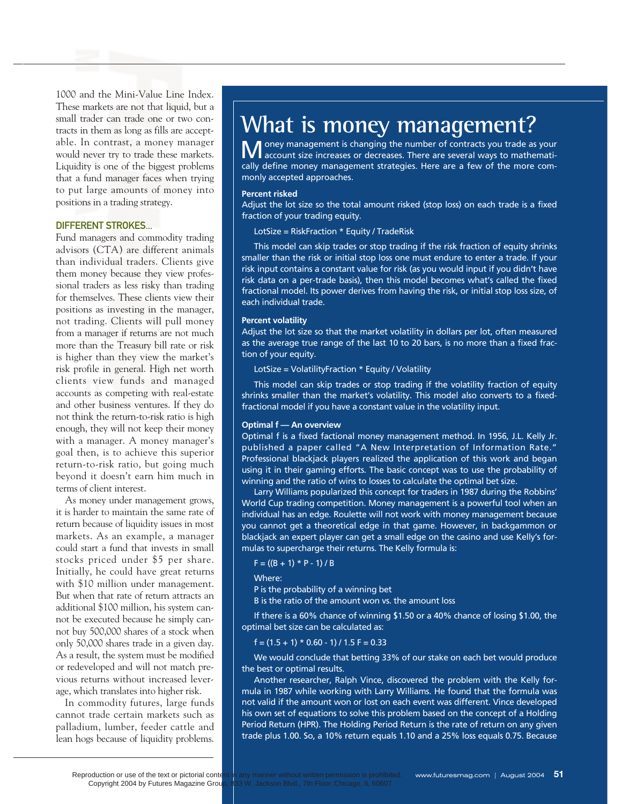1000 and the Mini-Value Line Index. These markets are not that liquid, but a small trader can trade one or two contracts in them as long as fills are acceptable. In contrast, a money manager would never try to trade these markets. Liquidity is one of the biggest problems that a fund manager faces when trying to put large amounts of money into positions in a trading strategy.

#### DIFFERENT STROKES...

Fund managers and commodity trading advisors (CTA) are different animals than individual traders. Clients give them money because they view professional traders as less risky than trading for themselves. These clients view their positions as investing in the manager, not trading. Clients will pull money from a manager if returns are not much more than the Treasury bill rate or risk is higher than they view the market's risk profile in general. High net worth clients view funds and managed accounts as competing with real-estate and other business ventures. If they do not think the return-to-risk ratio is high enough, they will not keep their money with a manager. A money manager's goal then, is to achieve this superior return-to-risk ratio, but going much beyond it doesn't earn him much in terms of client interest.

As money under management grows, it is harder to maintain the same rate of return because of liquidity issues in most markets. As an example, a manager could start a fund that invests in small stocks priced under \$5 per share. Initially, he could have great returns with \$10 million under management. But when that rate of return attracts an additional \$100 million, his system cannot be executed because he simply cannot buy 500,000 shares of a stock when only 50,000 shares trade in a given day. As a result, the system must be modified or redeveloped and will not match previous returns without increased leverage, which translates into higher risk.

In commodity futures, large funds cannot trade certain markets such as palladium, lumber, feeder cattle and lean hogs because of liquidity problems.

# **What is money management?**

Money management is changing the number of contracts you trade as your account size increases or decreases. There are several ways to mathematically define money management strategies. Here are a few of the more commonly accepted approaches.

#### **Percent risked**

Adjust the lot size so the total amount risked (stop loss) on each trade is a fixed fraction of your trading equity.

LotSize = RiskFraction \* Equity / TradeRisk

This model can skip trades or stop trading if the risk fraction of equity shrinks smaller than the risk or initial stop loss one must endure to enter a trade. If your risk input contains a constant value for risk (as you would input if you didn't have risk data on a per-trade basis), then this model becomes what's called the fixed fractional model. Its power derives from having the risk, or initial stop loss size, of each individual trade.

#### **Percent volatility**

Adjust the lot size so that the market volatility in dollars per lot, often measured as the average true range of the last 10 to 20 bars, is no more than a fixed fraction of your equity.

LotSize = VolatilityFraction \* Equity / Volatility

This model can skip trades or stop trading if the volatility fraction of equity shrinks smaller than the market's volatility. This model also converts to a fixedfractional model if you have a constant value in the volatility input.

#### **Optimal f — An overview**

Optimal f is a fixed factional money management method. In 1956, J.L. Kelly Jr. published a paper called "A New Interpretation of Information Rate." Professional blackjack players realized the application of this work and began using it in their gaming efforts. The basic concept was to use the probability of winning and the ratio of wins to losses to calculate the optimal bet size.

Larry Williams popularized this concept for traders in 1987 during the Robbins' World Cup trading competition. Money management is a powerful tool when an individual has an edge. Roulette will not work with money management because you cannot get a theoretical edge in that game. However, in backgammon or blackjack an expert player can get a small edge on the casino and use Kelly's formulas to supercharge their returns. The Kelly formula is:

 $F = ((B + 1) * P - 1) / B$ 

Where:

P is the probability of a winning bet

B is the ratio of the amount won vs. the amount loss

If there is a 60% chance of winning \$1.50 or a 40% chance of losing \$1.00, the optimal bet size can be calculated as:

 $f = (1.5 + 1) * 0.60 - 1$  / 1.5 F = 0.33

We would conclude that betting 33% of our stake on each bet would produce the best or optimal results.

Another researcher, Ralph Vince, discovered the problem with the Kelly formula in 1987 while working with Larry Williams. He found that the formula was not valid if the amount won or lost on each event was different. Vince developed his own set of equations to solve this problem based on the concept of a Holding Period Return (HPR). The Holding Period Return is the rate of return on any given trade plus 1.00. So, a 10% return equals 1.10 and a 25% loss equals 0.75. Because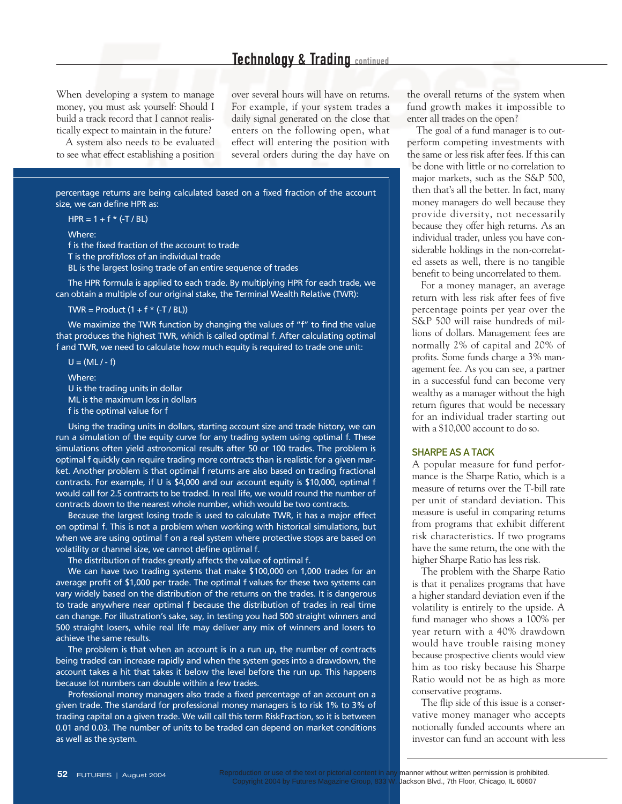When developing a system to manage money, you must ask yourself: Should I build a track record that I cannot realistically expect to maintain in the future?

A system also needs to be evaluated to see what effect establishing a position

over several hours will have on returns. For example, if your system trades a daily signal generated on the close that enters on the following open, what effect will entering the position with several orders during the day have on

percentage returns are being calculated based on a fixed fraction of the account size, we can define HPR as:

 $HPR = 1 + f * (-T / BL)$ 

Where:

f is the fixed fraction of the account to trade T is the profit/loss of an individual trade BL is the largest losing trade of an entire sequence of trades

The HPR formula is applied to each trade. By multiplying HPR for each trade, we can obtain a multiple of our original stake, the Terminal Wealth Relative (TWR):

TWR = Product  $(1 + f * (-T / BL))$ 

We maximize the TWR function by changing the values of "f" to find the value that produces the highest TWR, which is called optimal f. After calculating optimal f and TWR, we need to calculate how much equity is required to trade one unit:

 $U = (ML / - f)$ 

Where: U is the trading units in dollar ML is the maximum loss in dollars f is the optimal value for f

Using the trading units in dollars, starting account size and trade history, we can run a simulation of the equity curve for any trading system using optimal f. These simulations often yield astronomical results after 50 or 100 trades. The problem is optimal f quickly can require trading more contracts than is realistic for a given market. Another problem is that optimal f returns are also based on trading fractional contracts. For example, if U is \$4,000 and our account equity is \$10,000, optimal f would call for 2.5 contracts to be traded. In real life, we would round the number of contracts down to the nearest whole number, which would be two contracts.

Because the largest losing trade is used to calculate TWR, it has a major effect on optimal f. This is not a problem when working with historical simulations, but when we are using optimal f on a real system where protective stops are based on volatility or channel size, we cannot define optimal f.

The distribution of trades greatly affects the value of optimal f.

We can have two trading systems that make \$100,000 on 1,000 trades for an average profit of \$1,000 per trade. The optimal f values for these two systems can vary widely based on the distribution of the returns on the trades. It is dangerous to trade anywhere near optimal f because the distribution of trades in real time can change. For illustration's sake, say, in testing you had 500 straight winners and 500 straight losers, while real life may deliver any mix of winners and losers to achieve the same results.

The problem is that when an account is in a run up, the number of contracts being traded can increase rapidly and when the system goes into a drawdown, the account takes a hit that takes it below the level before the run up. This happens because lot numbers can double within a few trades.

Professional money managers also trade a fixed percentage of an account on a given trade. The standard for professional money managers is to risk 1% to 3% of trading capital on a given trade. We will call this term RiskFraction, so it is between 0.01 and 0.03. The number of units to be traded can depend on market conditions as well as the system.

the overall returns of the system when fund growth makes it impossible to enter all trades on the open?

The goal of a fund manager is to outperform competing investments with the same or less risk after fees. If this can be done with little or no correlation to major markets, such as the S&P 500, then that's all the better. In fact, many money managers do well because they provide diversity, not necessarily because they offer high returns. As an individual trader, unless you have considerable holdings in the non-correlated assets as well, there is no tangible benefit to being uncorrelated to them.

For a money manager, an average return with less risk after fees of five percentage points per year over the S&P 500 will raise hundreds of millions of dollars. Management fees are normally 2% of capital and 20% of profits. Some funds charge a 3% management fee. As you can see, a partner in a successful fund can become very wealthy as a manager without the high return figures that would be necessary for an individual trader starting out with a \$10,000 account to do so.

#### SHARPE AS A TACK

A popular measure for fund performance is the Sharpe Ratio, which is a measure of returns over the T-bill rate per unit of standard deviation. This measure is useful in comparing returns from programs that exhibit different risk characteristics. If two programs have the same return, the one with the higher Sharpe Ratio has less risk.

The problem with the Sharpe Ratio is that it penalizes programs that have a higher standard deviation even if the volatility is entirely to the upside. A fund manager who shows a 100% per year return with a 40% drawdown would have trouble raising money because prospective clients would view him as too risky because his Sharpe Ratio would not be as high as more conservative programs.

The flip side of this issue is a conservative money manager who accepts notionally funded accounts where an investor can fund an account with less

Reproduction or use of the text or pictorial content in any manner without written permission is prohibited.<br>Copyright 2004 by Futures Magazine Group, 833 W. Jackson Blvd., 7th Floor, Chicago, IL 60607 Jackson Blvd., 7th Floor, Chicago, IL 60607